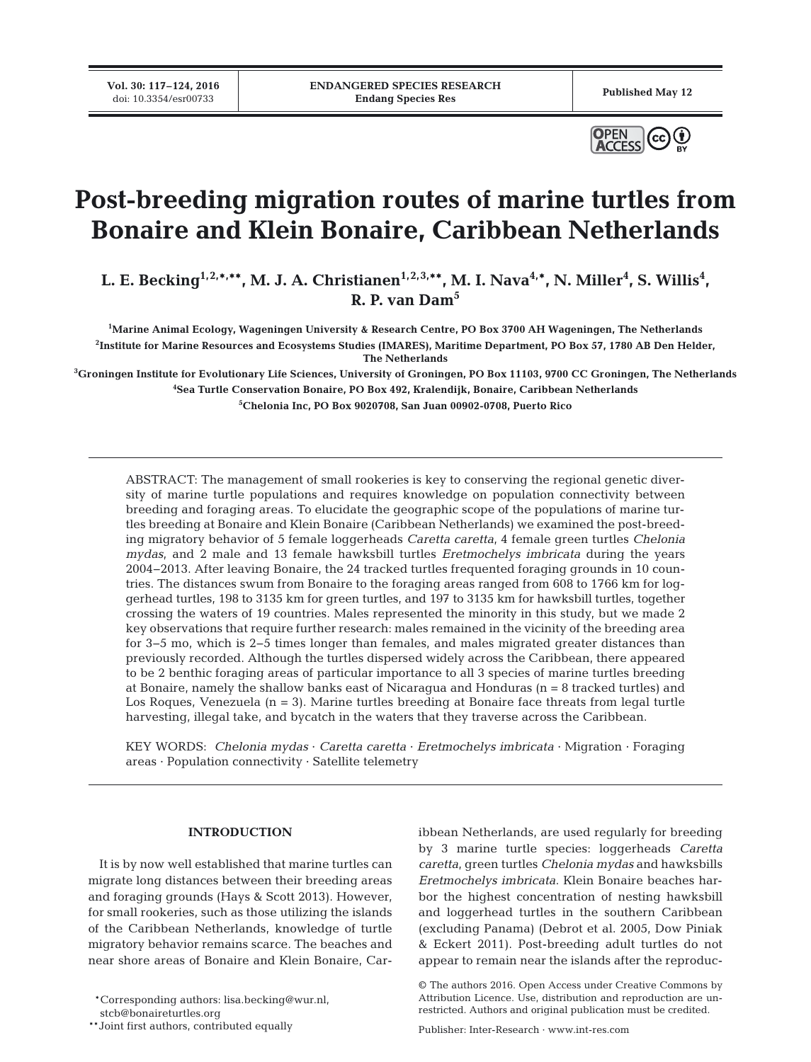**Vol. 30: 117–124, 2016**<br>doi: 10.3354/esr00733



# **Post-breeding migration routes of marine turtles from Bonaire and Klein Bonaire, Caribbean Netherlands**

L. E. Becking<sup>1,2,\*,\*\*</sup>, M. J. A. Christianen<sup>1,2,3,\*\*</sup>, M. I. Nava<sup>4,\*</sup>, N. Miller<sup>4</sup>, S. Willis<sup>4</sup>, **R. P. van Dam5**

**1 Marine Animal Ecology, Wageningen University & Research Centre, PO Box 3700 AH Wageningen, The Netherlands 2 Institute for Marine Resources and Ecosystems Studies (IMARES), Maritime Department, PO Box 57, 1780 AB Den Helder, The Netherlands**

**3 Groningen Institute for Evolutionary Life Sciences, University of Groningen, PO Box 11103, 9700 CC Groningen, The Netherlands 4 Sea Turtle Conservation Bonaire, PO Box 492, Kralendijk, Bonaire, Caribbean Netherlands 5 Chelonia Inc, PO Box 9020708, San Juan 00902-0708, Puerto Rico**

ABSTRACT: The management of small rookeries is key to conserving the regional genetic diversity of marine turtle populations and requires knowledge on population connectivity between breeding and foraging areas. To elucidate the geographic scope of the populations of marine turtles breeding at Bonaire and Klein Bonaire (Caribbean Netherlands) we examined the post-breeding migratory behavior of 5 female loggerheads *Caretta caretta*, 4 female green turtles *Chelonia mydas*, and 2 male and 13 female hawksbill turtles *Eretmochelys imbricata* during the years 2004−2013. After leaving Bonaire, the 24 tracked turtles frequented foraging grounds in 10 countries. The distances swum from Bonaire to the foraging areas ranged from 608 to 1766 km for loggerhead turtles, 198 to 3135 km for green turtles, and 197 to 3135 km for hawksbill turtles, together crossing the waters of 19 countries. Males represented the minority in this study, but we made 2 key observations that require further research: males remained in the vicinity of the breeding area for 3−5 mo, which is 2−5 times longer than females, and males migrated greater distances than previously recorded. Although the turtles dispersed widely across the Caribbean, there appeared to be 2 benthic foraging areas of particular importance to all 3 species of marine turtles breeding at Bonaire, namely the shallow banks east of Nicaragua and Honduras (n = 8 tracked turtles) and Los Roques, Venezuela (n = 3). Marine turtles breeding at Bonaire face threats from legal turtle harvesting, illegal take, and bycatch in the waters that they traverse across the Caribbean.

KEY WORDS: *Chelonia mydas* · *Caretta caretta* · *Eretmochelys imbricata* · Migration · Foraging areas · Population connectivity · Satellite telemetry

# **INTRODUCTION**

It is by now well established that marine turtles can migrate long distances between their breeding areas and foraging grounds (Hays & Scott 2013). However, for small rookeries, such as those utilizing the islands of the Caribbean Netherlands, knowledge of turtle migratory behavior remains scarce. The beaches and near shore areas of Bonaire and Klein Bonaire, Car-

\*Corresponding authors: lisa.becking@wur.nl,

stcb@bonaireturtles.org

ibbean Netherlands, are used regularly for breeding by 3 marine turtle species: loggerheads *Caretta caretta*, green turtles *Chelonia mydas* and hawksbills *Eretmochelys imbricata*. Klein Bonaire beaches harbor the highest concentration of nesting hawksbill and loggerhead turtles in the southern Caribbean (excluding Panama) (Debrot et al. 2005, Dow Piniak & Eckert 2011). Post-breeding adult turtles do not appear to remain near the islands after the reproduc-

Publisher: Inter-Research · www.int-res.com

<sup>\*\*</sup>Joint first authors, contributed equally

<sup>©</sup> The authors 2016. Open Access under Creative Commons by Attribution Licence. Use, distribution and reproduction are unrestricted. Authors and original publication must be credited.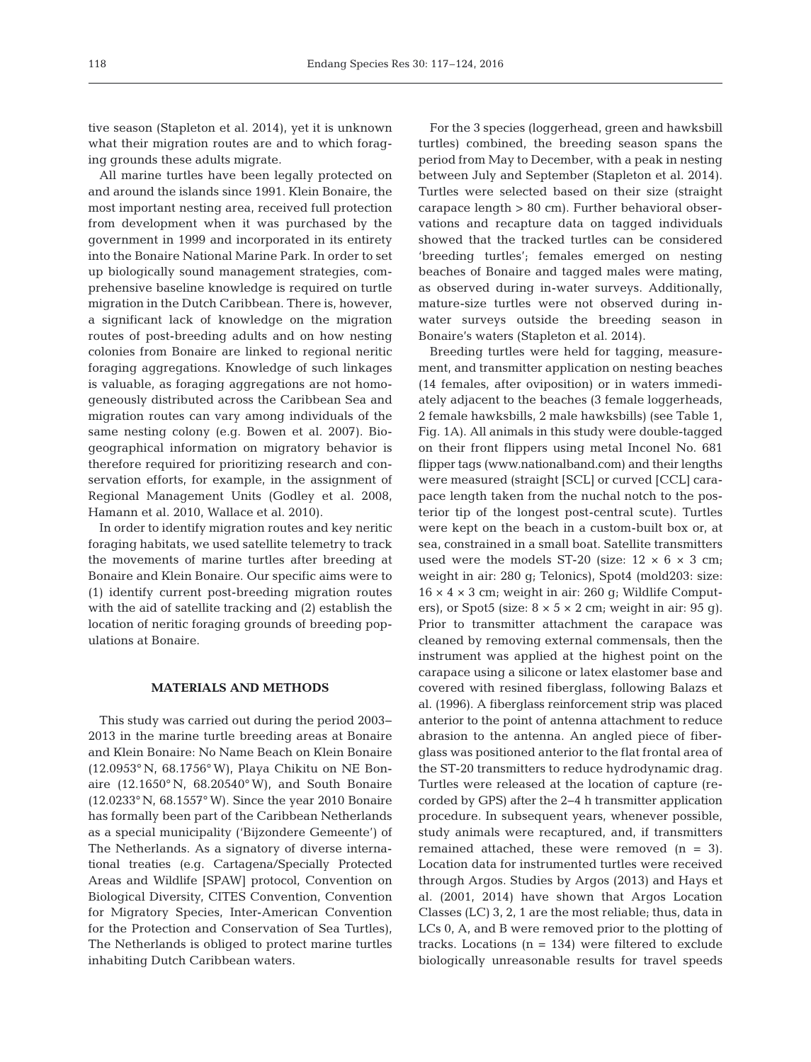tive season (Stapleton et al. 2014), yet it is unknown what their migration routes are and to which foraging grounds these adults migrate.

All marine turtles have been legally protected on and around the islands since 1991. Klein Bonaire, the most important nesting area, received full protection from development when it was purchased by the government in 1999 and incorporated in its entirety into the Bonaire National Marine Park. In order to set up biologically sound management strategies, comprehensive baseline knowledge is required on turtle migration in the Dutch Caribbean. There is, however, a significant lack of knowledge on the migration routes of post-breeding adults and on how nesting colonies from Bonaire are linked to regional neritic foraging aggregations. Knowledge of such linkages is valuable, as foraging aggregations are not homogeneously distributed across the Caribbean Sea and migration routes can vary among individuals of the same nesting colony (e.g. Bowen et al. 2007). Bio geographical information on migratory behavior is therefore required for prioritizing research and conservation efforts, for example, in the assignment of Regional Management Units (Godley et al. 2008, Hamann et al. 2010, Wallace et al. 2010).

In order to identify migration routes and key neritic foraging habitats, we used satellite telemetry to track the movements of marine turtles after breeding at Bonaire and Klein Bonaire. Our specific aims were to (1) identify current post-breeding migration routes with the aid of satellite tracking and (2) establish the location of neritic foraging grounds of breeding populations at Bonaire.

## **MATERIALS AND METHODS**

This study was carried out during the period 2003− 2013 in the marine turtle breeding areas at Bonaire and Klein Bonaire: No Name Beach on Klein Bonaire  $(12.0953^{\circ} N, 68.1756^{\circ} W)$ , Playa Chikitu on NE Bonaire (12.1650° N, 68.20540° W), and South Bonaire (12.0233° N, 68.1557° W). Since the year 2010 Bonaire has formally been part of the Caribbean Netherlands as a special municipality ('Bijzondere Gemeente') of The Netherlands. As a signatory of diverse international treaties (e.g. Cartagena/Specially Protected Areas and Wildlife [SPAW] protocol, Convention on Biological Diversity, CITES Convention, Convention for Migratory Species, Inter-American Convention for the Protection and Conservation of Sea Turtles), The Netherlands is obliged to protect marine turtles inhabiting Dutch Caribbean waters.

For the 3 species (loggerhead, green and hawksbill turtles) combined, the breeding season spans the period from May to December, with a peak in nesting between July and September (Stapleton et al. 2014). Turtles were selected based on their size (straight carapace length > 80 cm). Further behavioral observations and recapture data on tagged individuals showed that the tracked turtles can be considered 'breeding turtles'; females emerged on nesting beaches of Bonaire and tagged males were mating, as observed during in-water surveys. Additionally, mature-size turtles were not observed during inwater surveys outside the breeding season in Bonaire's waters (Stapleton et al. 2014).

Breeding turtles were held for tagging, measurement, and transmitter application on nesting beaches (14 females, after oviposition) or in waters immediately adjacent to the beaches (3 female loggerheads, 2 female hawksbills, 2 male hawksbills) (see Table 1, Fig. 1A). All animals in this study were double-tagged on their front flippers using metal Inconel No. 681 flipper tags (www.nationalband.com) and their lengths were measured (straight [SCL] or curved [CCL] carapace length taken from the nuchal notch to the posterior tip of the longest post-central scute). Turtles were kept on the beach in a custom-built box or, at sea, constrained in a small boat. Satellite transmitters used were the models ST-20 (size:  $12 \times 6 \times 3$  cm; weight in air: 280 g; Telonics), Spot4 (mold203: size:  $16 \times 4 \times 3$  cm; weight in air: 260 g; Wildlife Computers), or Spot5 (size:  $8 \times 5 \times 2$  cm; weight in air: 95 g). Prior to transmitter attachment the carapace was cleaned by removing external commensals, then the instrument was applied at the highest point on the carapace using a silicone or latex elastomer base and covered with resined fiberglass, following Balazs et al. (1996). A fiberglass reinforcement strip was placed anterior to the point of antenna attachment to reduce abrasion to the antenna. An angled piece of fiberglass was positioned anterior to the flat frontal area of the ST-20 transmitters to reduce hydrodynamic drag. Turtles were released at the location of capture (recorded by GPS) after the 2−4 h transmitter application procedure. In subsequent years, whenever possible, study animals were recaptured, and, if transmitters remained attached, these were removed (n = 3). Location data for instrumented turtles were received through Argos. Studies by Argos (2013) and Hays et al. (2001, 2014) have shown that Argos Location Classes (LC) 3, 2, 1 are the most reliable; thus, data in LCs 0, A, and B were removed prior to the plotting of tracks. Locations  $(n = 134)$  were filtered to exclude biologically unreasonable results for travel speeds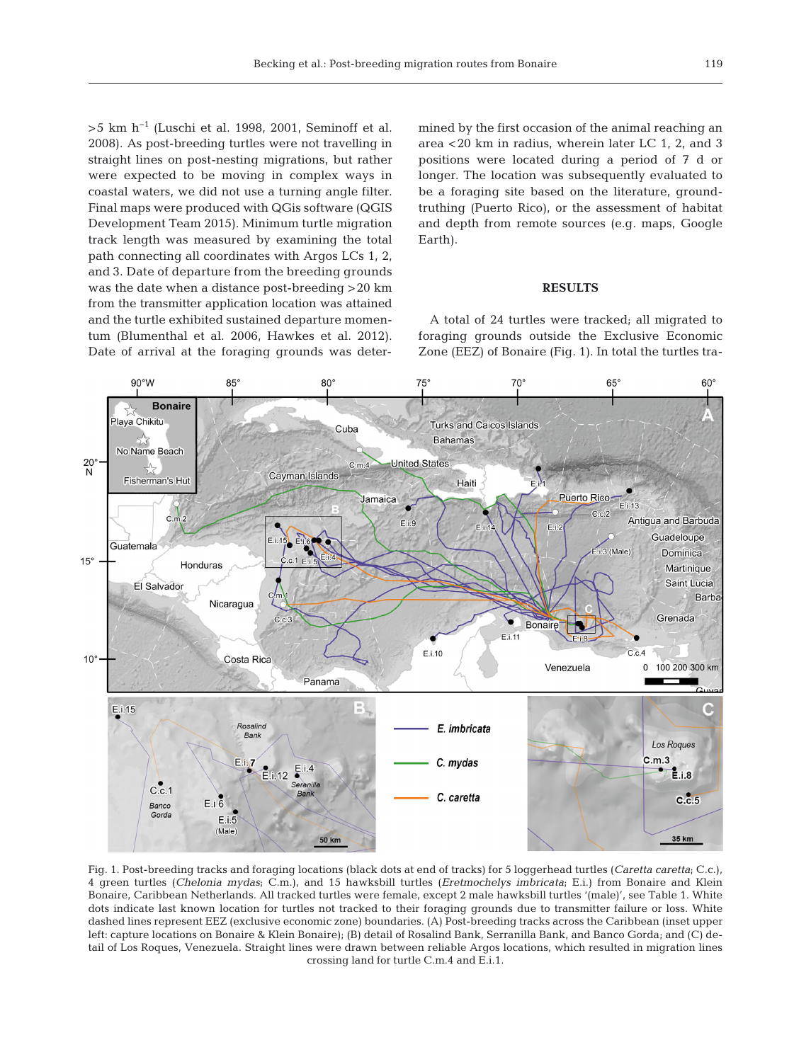>5 km h<sup>-1</sup> (Luschi et al. 1998, 2001, Seminoff et al. 2008). As post-breeding turtles were not travelling in straight lines on post-nesting migrations, but rather were ex pected to be moving in complex ways in coastal waters, we did not use a turning angle filter. Final maps were produced with QGis software (QGIS Development Team 2015). Minimum turtle migration track length was measured by examining the total path connecting all coordinates with Argos LCs 1, 2, and 3. Date of departure from the breeding grounds was the date when a distance post-breeding >20 km from the transmitter application location was attained and the turtle exhibited sustained departure momentum (Blumenthal et al. 2006, Hawkes et al. 2012). Date of arrival at the foraging grounds was determined by the first occasion of the animal reaching an area <20 km in radius, wherein later LC 1, 2, and 3 positions were located during a period of 7 d or longer. The location was subsequently evaluated to be a foraging site based on the literature, groundtruthing (Puerto Rico), or the assessment of habitat and depth from remote sources (e.g. maps, Google Earth).

### **RESULTS**

A total of 24 turtles were tracked; all migrated to foraging grounds outside the Exclusive Economic Zone (EEZ) of Bonaire (Fig. 1). In total the turtles tra-



Fig. 1. Post-breeding tracks and foraging locations (black dots at end of tracks) for 5 loggerhead turtles (*Caretta caretta*; C.c.), 4 green turtles (*Chelonia mydas*; C.m.), and 15 hawksbill turtles (*Eretmochelys imbricata*; E.i.) from Bonaire and Klein Bonaire, Caribbean Netherlands. All tracked turtles were female, except 2 male hawksbill turtles '(male)', see Table 1. White dots indicate last known location for turtles not tracked to their foraging grounds due to transmitter failure or loss. White dashed lines represent EEZ (exclusive economic zone) boundaries. (A) Post-breeding tracks across the Caribbean (inset upper left: capture locations on Bonaire & Klein Bonaire); (B) detail of Rosalind Bank, Serranilla Bank, and Banco Gorda; and (C) detail of Los Roques, Venezuela. Straight lines were drawn between reliable Argos locations, which resulted in migration lines crossing land for turtle C.m.4 and E.i.1.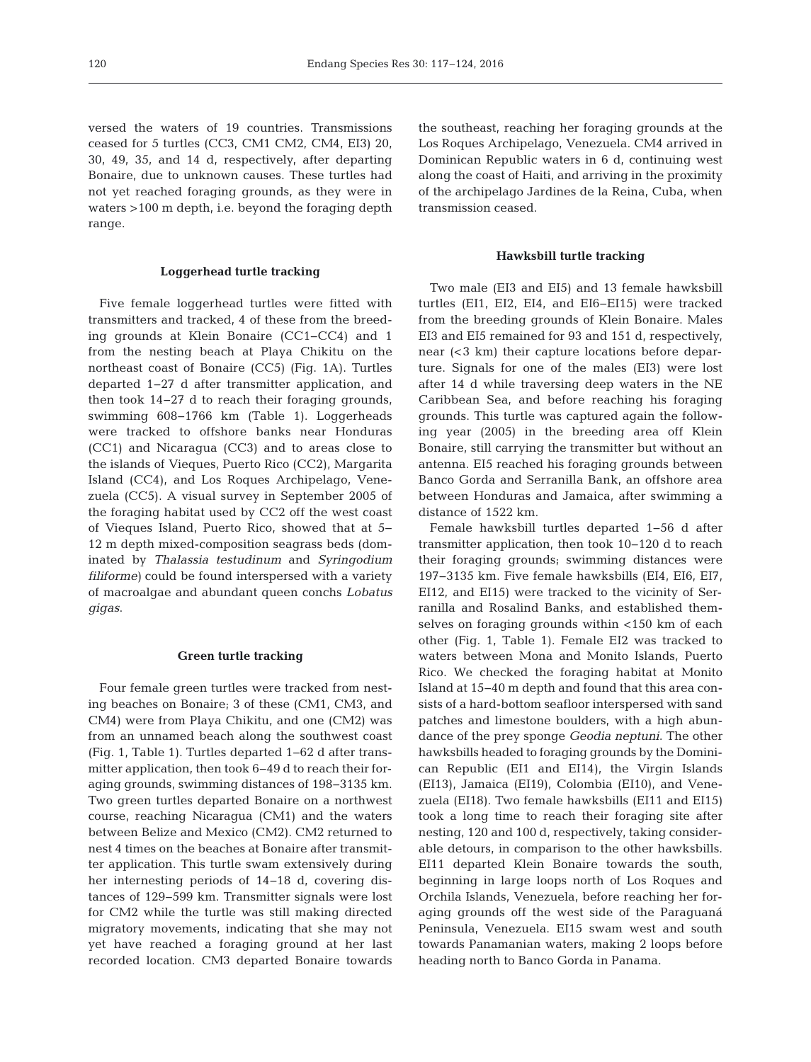versed the waters of 19 countries. Transmissions ceased for 5 turtles (CC3, CM1 CM2, CM4, EI3) 20, 30, 49, 35, and 14 d, respectively, after departing Bonaire, due to unknown causes. These turtles had not yet reached foraging grounds, as they were in waters >100 m depth, i.e. beyond the foraging depth range.

#### **Loggerhead turtle tracking**

Five female loggerhead turtles were fitted with transmitters and tracked, 4 of these from the breeding grounds at Klein Bonaire (CC1−CC4) and 1 from the nesting beach at Playa Chikitu on the northeast coast of Bonaire (CC5) (Fig. 1A). Turtles departed 1−27 d after transmitter application, and then took 14−27 d to reach their foraging grounds, swimming 608−1766 km (Table 1). Loggerheads were tracked to offshore banks near Honduras (CC1) and Nicaragua (CC3) and to areas close to the islands of Vieques, Puerto Rico (CC2), Margarita Island (CC4), and Los Roques Archipelago, Venezuela (CC5). A visual survey in September 2005 of the foraging habitat used by CC2 off the west coast of Vieques Island, Puerto Rico, showed that at 5− 12 m depth mixed-composition seagrass beds (dominated by *Thalassia testudinum* and *Syringodium filiforme)* could be found interspersed with a variety of macroalgae and abundant queen conchs *Lobatus gigas*.

#### **Green turtle tracking**

Four female green turtles were tracked from nesting beaches on Bonaire; 3 of these (CM1, CM3, and CM4) were from Playa Chikitu, and one (CM2) was from an unnamed beach along the southwest coast (Fig. 1, Table 1). Turtles departed 1−62 d after transmitter application, then took 6−49 d to reach their foraging grounds, swimming distances of 198−3135 km. Two green turtles departed Bonaire on a northwest course, reaching Nicaragua (CM1) and the waters between Belize and Mexico (CM2). CM2 returned to nest 4 times on the beaches at Bonaire after transmitter application. This turtle swam extensively during her internesting periods of 14−18 d, covering distances of 129−599 km. Transmitter signals were lost for CM2 while the turtle was still making directed migratory movements, indicating that she may not yet have reached a foraging ground at her last recorded location. CM3 departed Bonaire towards

the southeast, reaching her foraging grounds at the Los Roques Archipelago, Venezuela. CM4 arrived in Dominican Republic waters in 6 d, continuing west along the coast of Haiti, and arriving in the proximity of the archipelago Jardines de la Reina, Cuba, when transmission ceased.

#### **Hawksbill turtle tracking**

Two male (EI3 and EI5) and 13 female hawksbill turtles (EI1, EI2, EI4, and EI6−EI15) were tracked from the breeding grounds of Klein Bonaire. Males EI3 and EI5 remained for 93 and 151 d, respectively, near (<3 km) their capture locations before departure. Signals for one of the males (EI3) were lost after 14 d while traversing deep waters in the NE Caribbean Sea, and before reaching his foraging grounds. This turtle was captured again the following year (2005) in the breeding area off Klein Bonaire, still carrying the transmitter but without an antenna. EI5 reached his foraging grounds between Banco Gorda and Serranilla Bank, an offshore area be tween Honduras and Jamaica, after swimming a distance of 1522 km.

Female hawksbill turtles departed 1−56 d after transmitter application, then took 10−120 d to reach their foraging grounds; swimming distances were 197−3135 km. Five female hawksbills (EI4, EI6, EI7, EI12, and EI15) were tracked to the vicinity of Serranilla and Rosalind Banks, and established themselves on foraging grounds within <150 km of each other (Fig. 1, Table 1). Female EI2 was tracked to waters between Mona and Monito Islands, Puerto Rico. We checked the foraging habitat at Monito Island at 15−40 m depth and found that this area consists of a hard-bottom seafloor interspersed with sand patches and limestone boulders, with a high abundance of the prey sponge *Geodia neptuni*. The other hawksbills headed to foraging grounds by the Dominican Republic (EI1 and EI14), the Virgin Islands (EI13), Jamaica (EI19), Colombia (EI10), and Venezuela (EI18). Two female hawksbills (EI11 and EI15) took a long time to reach their foraging site after nesting, 120 and 100 d, respectively, taking considerable detours, in comparison to the other hawksbills. EI11 departed Klein Bonaire towards the south, beginning in large loops north of Los Roques and Orchila Islands, Venezuela, before reaching her foraging grounds off the west side of the Paraguaná Peninsula, Venezuela. EI15 swam west and south towards Panamanian waters, making 2 loops before heading north to Banco Gorda in Panama.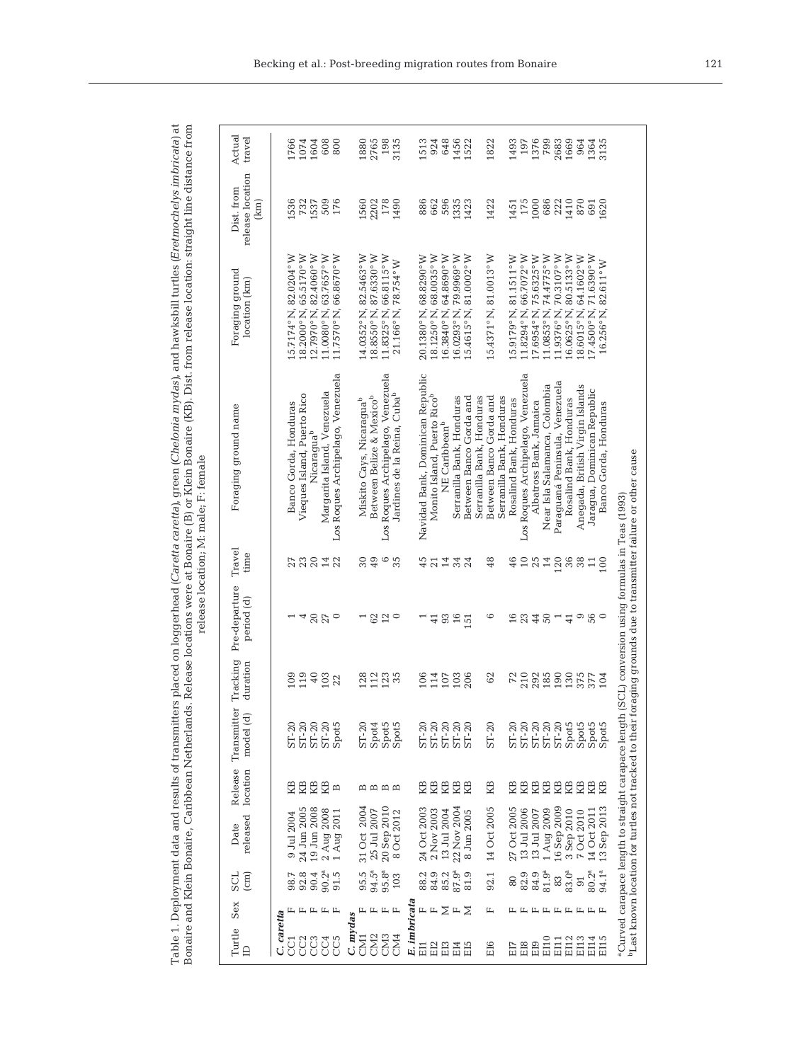| 3<br>ירא זומר למוד מיד<br>$++1$ on $(Ev, dm, dm$<br>The first compared with the state of the state of the state of the state of the state of the state of the state of the state of the state of the state of the state of the state of the state of the state of the state of the<br>ad (Caretta caretta), green (Chelonic<br>Ï<br>ļ | . C C S C + C + C C S - L C<br>whist IVR) Dist from release location eth<br>Hope word at Ronairo (R) or Vloir Ronair<br>LET PIRM<br><b>SALE DE LA LINE</b>                                                                     | roloaco location. M. malo: E. fomalo |
|---------------------------------------------------------------------------------------------------------------------------------------------------------------------------------------------------------------------------------------------------------------------------------------------------------------------------------------|--------------------------------------------------------------------------------------------------------------------------------------------------------------------------------------------------------------------------------|--------------------------------------|
|                                                                                                                                                                                                                                                                                                                                       |                                                                                                                                                                                                                                |                                      |
|                                                                                                                                                                                                                                                                                                                                       |                                                                                                                                                                                                                                |                                      |
|                                                                                                                                                                                                                                                                                                                                       |                                                                                                                                                                                                                                |                                      |
|                                                                                                                                                                                                                                                                                                                                       |                                                                                                                                                                                                                                |                                      |
|                                                                                                                                                                                                                                                                                                                                       |                                                                                                                                                                                                                                |                                      |
|                                                                                                                                                                                                                                                                                                                                       |                                                                                                                                                                                                                                |                                      |
|                                                                                                                                                                                                                                                                                                                                       |                                                                                                                                                                                                                                |                                      |
|                                                                                                                                                                                                                                                                                                                                       |                                                                                                                                                                                                                                |                                      |
| ί                                                                                                                                                                                                                                                                                                                                     |                                                                                                                                                                                                                                |                                      |
| ؟<br>بار                                                                                                                                                                                                                                                                                                                              |                                                                                                                                                                                                                                |                                      |
| i                                                                                                                                                                                                                                                                                                                                     | $\overline{a}$                                                                                                                                                                                                                 |                                      |
| are nlac<br>$\frac{1}{2}$                                                                                                                                                                                                                                                                                                             | ļ<br>$\frac{1}{2}$                                                                                                                                                                                                             |                                      |
|                                                                                                                                                                                                                                                                                                                                       |                                                                                                                                                                                                                                |                                      |
|                                                                                                                                                                                                                                                                                                                                       | í                                                                                                                                                                                                                              |                                      |
|                                                                                                                                                                                                                                                                                                                                       | is the contract of the contract of the contract of the contract of the contract of the contract of the contract of the contract of the contract of the contract of the contract of the contract of the contract of the contrac |                                      |
|                                                                                                                                                                                                                                                                                                                                       | l                                                                                                                                                                                                                              |                                      |
|                                                                                                                                                                                                                                                                                                                                       | i                                                                                                                                                                                                                              |                                      |
| $\ddot{\phantom{a}}$                                                                                                                                                                                                                                                                                                                  |                                                                                                                                                                                                                                |                                      |
| i<br>֧֧֧ׅ֧֧֧֧֧ׅ֧֧֧ׅ֧֧֧ׅ֧֧ׅ֧֧֧ׅ֧֚֚֚֚֚֚֚֚֚֚֚֚֚֚֚֚֚֚֚֚֚֚֚֚֚֚֚֚֚֚֚֚֝֝֝֝֝֓֝֓֝֓֝֬֝֝֬֝֬֝֝֬֝֬֝֝֬֝֬֝֝֬֝֬֝                                                                                                                                                                                                                                      |                                                                                                                                                                                                                                |                                      |
|                                                                                                                                                                                                                                                                                                                                       |                                                                                                                                                                                                                                |                                      |

|                       |                       |                                         |                          |                          |                                                                                                          |                      |                                                                                                                |                   | release location; M: male; F: female                                                                                      |                                  |                                        |                  |
|-----------------------|-----------------------|-----------------------------------------|--------------------------|--------------------------|----------------------------------------------------------------------------------------------------------|----------------------|----------------------------------------------------------------------------------------------------------------|-------------------|---------------------------------------------------------------------------------------------------------------------------|----------------------------------|----------------------------------------|------------------|
| Turtle<br>$\triangle$ | Sex                   | SCL<br>$\overline{\text{cm}}$           | released<br>Date         | location                 | Release Transmitter<br>model (d)                                                                         | Tracking<br>duration | Pre-departure<br>period (d)                                                                                    | Travel<br>time    | Foraging ground name                                                                                                      | Foraging ground<br>location (km) | release location<br>Dist. from<br>(km) | Actual<br>travel |
| C. caretta            |                       |                                         |                          |                          |                                                                                                          |                      |                                                                                                                |                   |                                                                                                                           |                                  |                                        |                  |
|                       |                       | 98.7                                    | 9 Jul 2004               | 囹                        | $ST-20$                                                                                                  | 109                  |                                                                                                                | 27                | Banco Gorda, Honduras                                                                                                     | 15.7174° N, 82.0204° W           | 536                                    | 1766             |
| CC <sub>2</sub>       |                       |                                         | 24 Jun 2005              |                          |                                                                                                          | 119                  | 4                                                                                                              |                   | Vieques Island, Puerto Rico                                                                                               | 18.2000° N, 65.5170° W           | 732                                    | 1074             |
| CC <sub>3</sub>       |                       |                                         | 19 Jun 2008              |                          |                                                                                                          | 40                   |                                                                                                                |                   | Nicaragua <sup>b</sup>                                                                                                    | 12.7970° N, 82.4060° W           | 1537                                   | 1604             |
| CC4                   |                       | $92.8$<br>$90.4$<br>$90.2$ <sup>a</sup> |                          | 臣臣臣                      |                                                                                                          | 103                  | 20                                                                                                             |                   | Margarita Island, Venezuela                                                                                               | 11.0080°N, 63.7657°W             | 509                                    | 608              |
| CC5                   |                       | 91.5                                    | 2 Aug 2008<br>1 Aug 2011 | $\mathbf{\underline{m}}$ | $\begin{array}{l} 20 \\ 51 \\ 20 \\ 51 \\ 20 \\ 51 \\ 20 \\ 51 \\ 20 \\ 51 \\ 20 \\ 51 \\ 2 \end{array}$ | 22                   | $\circ$                                                                                                        | 3842              | Los Roques Archipelago, Venezuela                                                                                         | 11.7570°N, 66.8670°W             | 176                                    | 800              |
| C. mydas              |                       |                                         |                          |                          |                                                                                                          |                      |                                                                                                                |                   |                                                                                                                           |                                  |                                        |                  |
| CM<br>3               | щ                     |                                         | 31 Oct 2004              |                          | $ST-20$                                                                                                  | 128                  | $\overline{ }$                                                                                                 | $30\,$            | Miskito Cays, Nicaragua <sup>b</sup>                                                                                      | 14.0352° N, 82.5463° W           | 1560                                   | 1880             |
| CM <sub>2</sub>       | $\mathbb{L}$          | $95.5^{\circ}$<br>$94.5^{\circ}$        | 25 Jul 2007              |                          |                                                                                                          | 112                  |                                                                                                                | 49                | Between Belize & Mexicob                                                                                                  | 18.8550°N, 87.6330°W             | 2202                                   | 2765             |
| CM <sub>3</sub>       |                       | 95.8 <sup>a</sup>                       | 20 Sep 2010              |                          |                                                                                                          | 123                  | 62                                                                                                             | $\circ$           | Los Roques Archipelago, Venezuela                                                                                         | 11.8325°N, 66.8115°W             | 178                                    | 198              |
| CM <sub>4</sub>       | $\boxed{\phantom{1}}$ | 103                                     | 8 Oct 2012               | $m \n  m \n  m$          | $\begin{array}{l} \mathrm{Spot4} \\ \mathrm{Spot5} \\ \mathrm{Spot5} \end{array}$                        | 35                   | $\circ$                                                                                                        | 35                | Jardines de la Reina, Cuba <sup>b</sup>                                                                                   | 21.166° N, 78.754° W             | 1490                                   | 3135             |
| E. imbricata          |                       |                                         |                          |                          |                                                                                                          |                      |                                                                                                                |                   |                                                                                                                           |                                  |                                        |                  |
| EI1                   |                       | 88.2                                    | 24 Oct 2003              | 囹                        |                                                                                                          | 106                  |                                                                                                                | 45                | Navidad Bank, Dominican Republic                                                                                          | 20.1380°N, 68.8290°W             | 886                                    | 1513             |
| EI <sub>2</sub>       | щщ                    | 84.9                                    | 2 Nov 2003               |                          |                                                                                                          | 114                  | $\frac{41}{5}$                                                                                                 | 21                | Monito Island, Puerto Rico <sup>b</sup>                                                                                   | 18.1250° N, 68.0035° W           | 662                                    | 924              |
| EI <sub>3</sub>       | Σ                     |                                         | 13 Jul 2004              | 医足                       |                                                                                                          | 107                  | 93                                                                                                             | 14                | NE Caribbean <sup>b</sup>                                                                                                 | 16.3840° N, 64.8690° W           | 596                                    | 648              |
| EI4                   | $F \nabla$            | 85.2<br>87.9ª                           | 22 Nov 2004              |                          |                                                                                                          | 103                  | $16$                                                                                                           |                   | Serranilla Bank, Honduras                                                                                                 | L6.0293° N.79.9969° W            | 1335                                   | 1456             |
| EI5                   |                       | 81.9                                    | 8 Jun 2005               | 受到                       | 81-20<br>81-20<br>81-20<br>81-30                                                                         | 206                  | 151                                                                                                            | $34 \overline{4}$ | Between Banco Gorda and                                                                                                   | 81.0002° W<br>.5.4615°N,         | 1423                                   | 1522             |
|                       |                       |                                         |                          |                          |                                                                                                          |                      |                                                                                                                |                   | Serranilla Bank, Honduras                                                                                                 |                                  |                                        |                  |
| E <sub>16</sub>       | щ                     | 92.1                                    | 14 Oct 2005              | КB                       | $ST-20$                                                                                                  | 62                   | $\circ$                                                                                                        | 48                | Between Banco Gorda and                                                                                                   | 15.4371° N, 81.0013° W           | 1422                                   | 1822             |
|                       |                       |                                         |                          |                          |                                                                                                          |                      |                                                                                                                |                   | Serranilla Bank, Honduras                                                                                                 |                                  |                                        |                  |
| EI7                   | щ                     | 80                                      | 27 Oct 2005              | 箆                        | $\begin{array}{l} \text{ST-20} \\ \text{ST-20} \\ \text{ST-21} \end{array}$                              | 72                   | $\overline{16}$                                                                                                | 46                | Rosalind Bank, Honduras                                                                                                   | 15.9179°N, 81.1511°W             | 1451                                   | 1493             |
| E <sub>18</sub>       | Щ                     | 82.9                                    | 13 Jul 2006              | 毘                        |                                                                                                          | 210                  |                                                                                                                | $\Xi$             | Los Roques Archipelago, Venezuela                                                                                         | 66.7072° W<br>11.8294°N,         | 175                                    | 197              |
| EI9                   | 山                     | 84.9                                    | 13 Jul 2007              | КB                       |                                                                                                          | 292                  | 23                                                                                                             | 25                | Albatross Bank, Jamaica                                                                                                   | 17.6954°N, 75.6325°W             | 1000                                   | 1376             |
| <b>E110</b>           |                       | 81.9 <sup>a</sup>                       | 1 Aug 2009               | 隐                        |                                                                                                          | 185                  | $50\,$                                                                                                         | $14$              | Near Isla Salamanca, Colombia                                                                                             | 74.4775° W<br>11.0853°N,         | 686                                    | 799              |
| E11                   |                       | 83                                      | 16 Sep 2009              | 隐                        | ST-20<br>ST-20                                                                                           | 190                  | $\overline{a}$                                                                                                 | 120               | Paraquaná Peninsula, Venezuela                                                                                            | 70.3107°W<br>11.9376°N,          | 222                                    | 2683             |
| E112                  |                       | 83.0 <sup>a</sup>                       | 3 Sep 2010               | 囹                        | Spot5                                                                                                    | 130                  | $\overline{41}$                                                                                                | 36                | Rosalind Bank, Honduras                                                                                                   | 80.5133° W<br>16.0625°N,         | 1410                                   | 1669             |
| E113                  | ЕЕЕЕЕЕ                | $\overline{91}$                         | 7 Oct 2010               | КB                       | Spot5                                                                                                    | 375                  | $\circ$                                                                                                        | 38                | Aneqada, British Virqin Islands                                                                                           | 18.6015°N, 64.1602°W             | 870                                    | 964              |
| E114                  |                       | $80.2^{a}$                              | 14 Oct 2011              | 受到                       |                                                                                                          | 377                  | 56                                                                                                             | $\frac{11}{100}$  | Jaragua, Dominican Republic                                                                                               | I7.4500° N. 71.6390° W           | 691                                    | 1364             |
| E115                  |                       | 94.1ª                                   | 13 Sep 2013              |                          | Spot5<br>Spot5                                                                                           | 104                  |                                                                                                                |                   | Banco Gorda, Honduras                                                                                                     | 82.611° W<br>16.256° N,          | 1620                                   | 3135             |
|                       |                       |                                         |                          |                          |                                                                                                          |                      | <sup>a</sup> Curved carapace length to straight carapace length (SCL) conversion using formulas in Teas (1993) |                   |                                                                                                                           |                                  |                                        |                  |
|                       |                       |                                         |                          |                          |                                                                                                          |                      |                                                                                                                |                   | $v_{\rm last}$ known location for turtles not tracked to their foraging grounds due to transmitter failure or other cause |                                  |                                        |                  |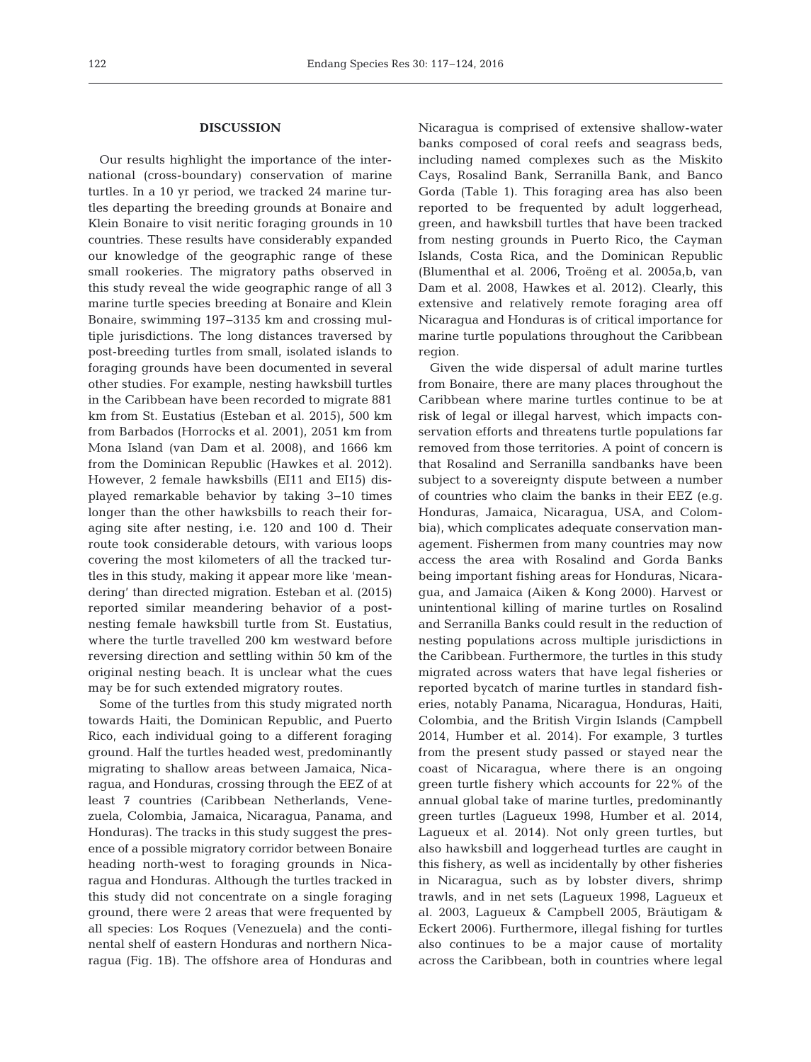# **DISCUSSION**

Our results highlight the importance of the international (cross-boundary) conservation of marine turtles. In a 10 yr period, we tracked 24 marine turtles departing the breeding grounds at Bonaire and Klein Bonaire to visit neritic foraging grounds in 10 countries. These results have considerably expanded our knowledge of the geographic range of these small rookeries. The migratory paths observed in this study reveal the wide geographic range of all 3 marine turtle species breeding at Bonaire and Klein Bonaire, swimming 197−3135 km and crossing multiple jurisdictions. The long distances traversed by post-breeding turtles from small, isolated islands to foraging grounds have been documented in several other studies. For example, nesting hawksbill turtles in the Caribbean have been recorded to migrate 881 km from St. Eustatius (Esteban et al. 2015), 500 km from Barbados (Horrocks et al. 2001), 2051 km from Mona Island (van Dam et al. 2008), and 1666 km from the Dominican Republic (Hawkes et al. 2012). However, 2 female hawksbills (EI11 and EI15) displayed remarkable behavior by taking 3−10 times longer than the other hawksbills to reach their foraging site after nesting, i.e. 120 and 100 d. Their route took considerable detours, with various loops covering the most kilometers of all the tracked turtles in this study, making it appear more like 'meandering' than directed migration. Esteban et al. (2015) reported similar meandering behavior of a postnesting female hawksbill turtle from St. Eustatius, where the turtle travelled 200 km westward before reversing direction and settling within 50 km of the original nesting beach. It is unclear what the cues may be for such extended migratory routes.

Some of the turtles from this study migrated north towards Haiti, the Dominican Republic, and Puerto Rico, each individual going to a different foraging ground. Half the turtles headed west, predominantly migrating to shallow areas between Jamaica, Nica ragua, and Honduras, crossing through the EEZ of at least 7 countries (Caribbean Netherlands, Venezuela, Colombia, Jamaica, Nicaragua, Panama, and Honduras). The tracks in this study suggest the presence of a possible migratory corridor between Bonaire heading north-west to foraging grounds in Nicaragua and Honduras. Although the turtles tracked in this study did not concentrate on a single foraging ground, there were 2 areas that were frequented by all species: Los Roques (Venezuela) and the continental shelf of eastern Honduras and northern Nicaragua (Fig. 1B). The offshore area of Honduras and

Nicaragua is comprised of extensive shallow-water banks composed of coral reefs and seagrass beds, including named complexes such as the Miskito Cays, Rosalind Bank, Serranilla Bank, and Banco Gorda (Table 1). This foraging area has also been reported to be frequented by adult loggerhead, green, and hawksbill turtles that have been tracked from nesting grounds in Puerto Rico, the Cayman Islands, Costa Rica, and the Dominican Republic (Blumenthal et al. 2006, Troëng et al. 2005a,b, van Dam et al. 2008, Hawkes et al. 2012). Clearly, this extensive and relatively remote foraging area off Nicaragua and Honduras is of critical importance for marine turtle populations throughout the Caribbean region.

Given the wide dispersal of adult marine turtles from Bonaire, there are many places throughout the Caribbean where marine turtles continue to be at risk of legal or illegal harvest, which impacts conservation efforts and threatens turtle populations far removed from those territories. A point of concern is that Rosalind and Serranilla sandbanks have been subject to a sovereignty dispute between a number of countries who claim the banks in their EEZ (e.g. Honduras, Jamaica, Nicaragua, USA, and Colombia), which complicates adequate conservation management. Fishermen from many countries may now access the area with Rosalind and Gorda Banks being important fishing areas for Honduras, Nicaragua, and Jamaica (Aiken & Kong 2000). Harvest or unintentional killing of marine turtles on Rosalind and Serranilla Banks could result in the reduction of nesting populations across multiple jurisdictions in the Caribbean. Furthermore, the turtles in this study migrated across waters that have legal fisheries or reported bycatch of marine turtles in standard fisheries, notably Panama, Nicaragua, Honduras, Haiti, Colombia, and the British Virgin Islands (Campbell 2014, Humber et al. 2014). For example, 3 turtles from the present study passed or stayed near the coast of Nicaragua, where there is an ongoing green turtle fishery which accounts for 22% of the annual global take of marine turtles, predominantly green turtles (Lagueux 1998, Humber et al. 2014, Lagueux et al. 2014). Not only green turtles, but also hawksbill and loggerhead turtles are caught in this fishery, as well as incidentally by other fisheries in Nicaragua, such as by lobster divers, shrimp trawls, and in net sets (Lagueux 1998, Lagueux et al. 2003, Lagueux & Campbell 2005, Bräutigam & Eckert 2006). Furthermore, illegal fishing for turtles also continues to be a major cause of mortality across the Caribbean, both in countries where legal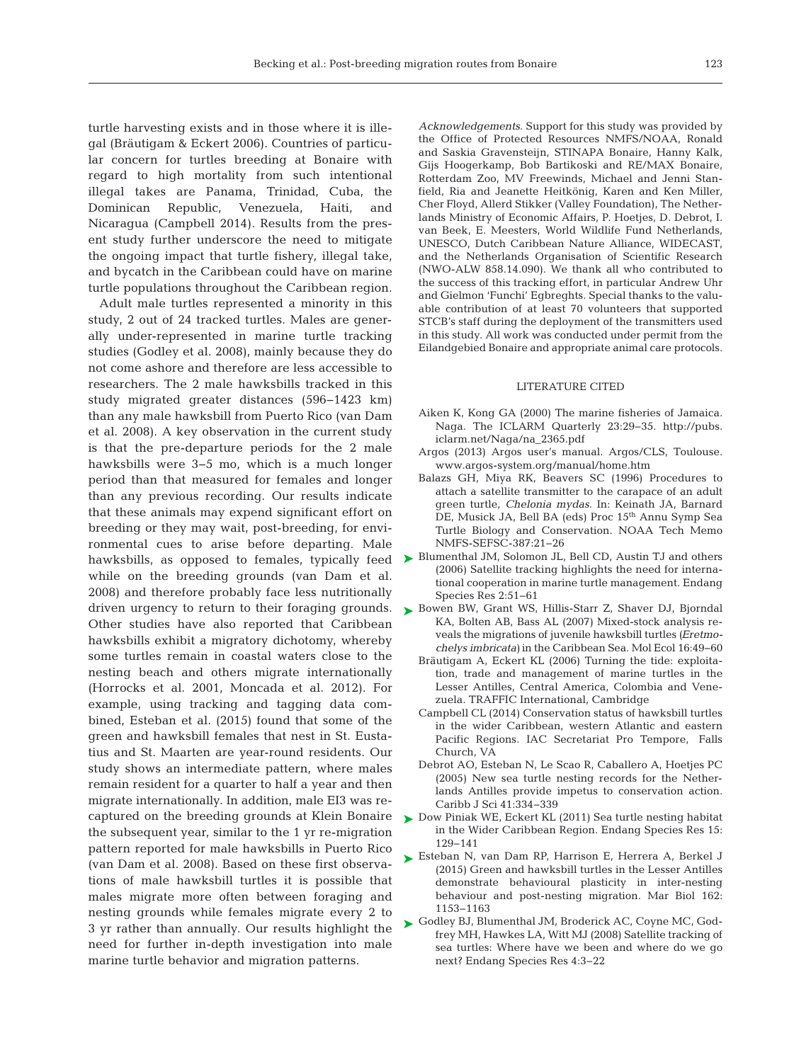turtle harvesting exists and in those where it is illegal (Bräutigam & Eckert 2006). Countries of particular concern for turtles breeding at Bonaire with regard to high mortality from such intentional illegal takes are Panama, Trinidad, Cuba, the Dominican Republic, Venezuela, Haiti, and Nicaragua (Campbell 2014). Results from the present study further underscore the need to mitigate the ongoing impact that turtle fishery, illegal take, and bycatch in the Caribbean could have on marine turtle populations throughout the Caribbean region.

Adult male turtles represented a minority in this study, 2 out of 24 tracked turtles. Males are generally under-represented in marine turtle tracking studies (Godley et al. 2008), mainly because they do not come ashore and therefore are less accessible to researchers. The 2 male hawksbills tracked in this study migrated greater distances (596−1423 km) than any male hawksbill from Puerto Rico (van Dam et al. 2008). A key observation in the current study is that the pre-departure periods for the 2 male hawksbills were 3−5 mo, which is a much longer period than that measured for females and longer than any previous recording. Our results indicate that these animals may expend significant effort on breeding or they may wait, post-breeding, for environmental cues to arise before departing. Male while on the breeding grounds (van Dam et al. 2008) and therefore probably face less nutritionally driven urgency to return to their foraging grounds. [Bowen BW, Grant WS, Hillis-Starr Z, Shaver DJ, Bjorndal](http://dx.doi.org/10.3354/meps301001) ➤ Other studies have also reported that Caribbean hawksbills exhibit a migratory dichotomy, whereby some turtles remain in coastal waters close to the nesting beach and others migrate internationally (Horrocks et al. 2001, Moncada et al. 2012). For example, using tracking and tagging data combined, Esteban et al. (2015) found that some of the green and hawksbill females that nest in St. Eustatius and St. Maarten are year-round residents. Our study shows an intermediate pattern, where males remain resident for a quarter to half a year and then migrate internationally. In addition, male EI3 was re captured on the breeding grounds at Klein Bonaire the subsequent year, similar to the 1 yr re-migration pattern reported for male hawksbills in Puerto Rico (van Dam et al. 2008). Based on these first observations of male hawksbill turtles it is possible that males migrate more often between foraging and nesting grounds while females migrate every 2 to 3 yr rather than annually. Our results highlight the need for further in-depth investigation into male marine turtle behavior and migration patterns.

*Acknowledgements*. Support for this study was provided by the Office of Protected Resources NMFS/NOAA, Ronald and Saskia Gravensteijn, STINAPA Bonaire, Hanny Kalk, Gijs Hoogerkamp, Bob Bartikoski and RE/MAX Bonaire, Rotterdam Zoo, MV Freewinds, Michael and Jenni Stanfield, Ria and Jeanette Heitkönig, Karen and Ken Miller, Cher Floyd, Allerd Stikker (Valley Foundation), The Netherlands Ministry of Economic Affairs, P. Hoetjes, D. Debrot, I. van Beek, E. Meesters, World Wildlife Fund Netherlands, UNESCO, Dutch Caribbean Nature Alliance, WIDECAST, and the Netherlands Organisation of Scientific Research (NWO-ALW 858.14.090). We thank all who contributed to the success of this tracking effort, in particular Andrew Uhr and Gielmon 'Funchi' Egbreghts. Special thanks to the valuable contribution of at least 70 volunteers that supported STCB's staff during the deployment of the transmitters used in this study. All work was conducted under permit from the Eilandgebied Bonaire and appropriate animal care protocols.

#### LITERATURE CITED

- Aiken K, Kong GA (2000) The marine fisheries of Jamaica. Naga. The ICLARM Quarterly 23:29-35. http://pubs. iclarm. net/Naga/na\_2365.pdf
- Argos (2013) Argos user's manual. Argos/CLS, Toulouse. www.argos-system.org/manual/home.htm
- Balazs GH, Miya RK, Beavers SC (1996) Procedures to attach a satellite transmitter to the carapace of an adult green turtle, *Chelonia mydas*. In:Keinath JA, Barnard DE, Musick JA, Bell BA (eds) Proc 15<sup>th</sup> Annu Symp Sea Turtle Biology and Conservation. NOAA Tech Memo NMFS-SEFSC-387:21-26
- hawksbills, as opposed to females, typically feed [Blumenthal JM, Solomon JL, Bell CD, Austin TJ and others](http://dx.doi.org/10.1111/j.1365-294X.2006.03161.x) (2006) Satellite tracking highlights the need for international cooperation in marine turtle management. Endang Species Res 2:51-61
	- KA, Bolten AB, Bass AL (2007) Mixed-stock analysis reveals the migrations of juvenile hawksbill turtles *(Eretmo chelys imbricata*) in the Caribbean Sea. Mol Ecol 16:49-60
	- Bräutigam A, Eckert KL (2006) Turning the tide: exploitation, trade and management of marine turtles in the Lesser Antilles, Central America, Colombia and Venezuela. TRAFFIC International, Cambridge
	- Campbell CL (2014) Conservation status of hawksbill turtles in the wider Caribbean, western Atlantic and eastern Pacific Regions. IAC Secretariat Pro Tempore, Falls Church, VA
	- Debrot AO, Esteban N, Le Scao R, Caballero A, Hoetjes PC (2005) New sea turtle nesting records for the Netherlands Antilles provide impetus to conservation action. Caribb J Sci 41:334-339
	- ► [Dow Piniak WE, Eckert KL \(2011\) Sea turtle nesting habitat](http://dx.doi.org/10.3354/esr00375) in the Wider Caribbean Region. Endang Species Res 15: 129−141
	- ▶ [Esteban N, van Dam RP, Harrison E, Herrera A, Berkel J](http://dx.doi.org/10.1007/s00227-015-2656-2) (2015) Green and hawksbill turtles in the Lesser Antilles demonstrate behavioural plasticity in inter-nesting behaviour and post-nesting migration. Mar Biol 162: 1153−1163
	- ► [Godley BJ, Blumenthal JM, Broderick AC, Coyne MC, God](http://dx.doi.org/10.3354/esr00081)frey MH, Hawkes LA, Witt MJ (2008) Satellite tracking of sea turtles: Where have we been and where do we go next? Endang Species Res 4:3-22